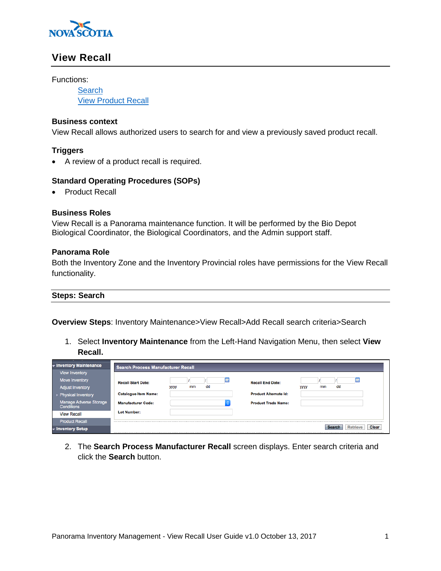

# **View Recall**

Functions:

**[Search](#page-0-0)** [View Product Recall](#page-1-0)

### **Business context**

View Recall allows authorized users to search for and view a previously saved product recall.

## **Triggers**

A review of a product recall is required.

### **Standard Operating Procedures (SOPs)**

Product Recall

### **Business Roles**

View Recall is a Panorama maintenance function. It will be performed by the Bio Depot Biological Coordinator, the Biological Coordinators, and the Admin support staff.

#### **Panorama Role**

Both the Inventory Zone and the Inventory Provincial roles have permissions for the View Recall functionality.

### <span id="page-0-0"></span>**Steps: Search**

**Overview Steps**: Inventory Maintenance>View Recall>Add Recall search criteria>Search

1. Select **Inventory Maintenance** from the Left-Hand Navigation Menu, then select **View Recall.** 

| v Inventory Maintenance<br><b>View Inventory</b> | <b>Search Process Manufacturer Recall</b> |                         |   |                              |             |          |   |
|--------------------------------------------------|-------------------------------------------|-------------------------|---|------------------------------|-------------|----------|---|
| Move Inventory                                   | <b>Recall Start Date:</b>                 |                         | 囲 | <b>Recall End Date:</b>      |             |          | 囲 |
| <b>Adjust Inventory</b>                          |                                           | dd<br>mm<br><b>yyyy</b> |   |                              | <b>yyyy</b> | dd<br>mm |   |
| ▶ Physical Inventory                             | <b>Catalogue Item Name:</b>               |                         |   | <b>Product Alternate Id:</b> |             |          |   |
| Manage Adverse Storage<br><b>Conditions</b>      | <b>Manufacturer Code:</b>                 |                         |   | <b>Product Trade Name:</b>   |             |          |   |
| <b>View Recall</b>                               | <b>Lot Number:</b>                        |                         |   |                              |             |          |   |
| <b>Product Recall</b>                            |                                           |                         |   |                              |             |          |   |
| ▼ Inventory Setup                                | Clear<br>Retrieve<br>Search               |                         |   |                              |             |          |   |

2. The **Search Process Manufacturer Recall** screen displays. Enter search criteria and click the **Search** button.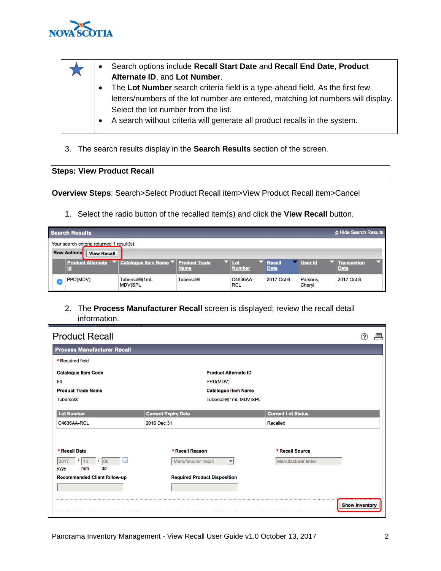

- Search options include **Recall Start Date** and **Recall End Date**, **Product Alternate ID**, and **Lot Number**.
	- The **Lot Number** search criteria field is a type-ahead field. As the first few letters/numbers of the lot number are entered, matching lot numbers will display. Select the lot number from the list.
		- A search without criteria will generate all product recalls in the system.
- 3. The search results display in the **Search Results** section of the screen.

## <span id="page-1-0"></span>**Steps: View Product Recall**

**Overview Steps**: Search>Select Product Recall item>View Product Recall item>Cancel

1. Select the radio button of the recalled item(s) and click the **View Recall** button.

|   | A Hide Search Results<br><b>Search Results</b> |                                                         |                  |                        |                              |                    |                                   |  |  |  |  |
|---|------------------------------------------------|---------------------------------------------------------|------------------|------------------------|------------------------------|--------------------|-----------------------------------|--|--|--|--|
|   | Your search criteria returned 1 result(s).     |                                                         |                  |                        |                              |                    |                                   |  |  |  |  |
|   | <b>Row Actions</b><br><b>View Recall</b>       |                                                         |                  |                        |                              |                    |                                   |  |  |  |  |
|   | c                                              | Product Alternate ▼ Catalogue Item Name ▼ Product Trade | <b>Name</b>      | Lot<br><b>Number</b>   | <b>Recall</b><br><b>Date</b> | User Id            | <b>Transaction</b><br><b>Date</b> |  |  |  |  |
| O | PPD(MDV)                                       | Tubersol®(1mL<br><b>MDV)SPL</b>                         | <b>Tubersol®</b> | C4636AA-<br><b>RCL</b> | 2017 Oct 6                   | Parsons,<br>Cheryl | 2017 Oct 8                        |  |  |  |  |

2. The **Process Manufacturer Recall** screen is displayed; review the recall detail information.

| <b>Product Recall</b>                              |                                                                    |                                        |
|----------------------------------------------------|--------------------------------------------------------------------|----------------------------------------|
| <b>Process Manufacturer Recall</b>                 |                                                                    |                                        |
| * Required field                                   |                                                                    |                                        |
| <b>Catalogue Item Code</b>                         | <b>Product Alternate ID</b>                                        |                                        |
| 54                                                 | PPD(MDV)                                                           |                                        |
| <b>Product Trade Name</b>                          | <b>Catalogue Item Name</b>                                         |                                        |
| <b>Tubersol®</b>                                   | Tubersol®(1mL MDV)SPL                                              |                                        |
| <b>Lot Number</b>                                  | <b>Current Expiry Date</b>                                         | <b>Current Lot Status</b>              |
| C4636AA-RCL                                        | 2016 Dec 31                                                        | Recalled                               |
| * Recall Date<br>Ш<br>06<br>10<br>dd<br>mm<br>уууу | * Recall Reason<br>Manufacturer recall<br>$\overline{\phantom{a}}$ | * Recall Source<br>Manufacturer letter |
| Recommended Client follow-up                       | <b>Required Product Disposition</b>                                | <b>Show Inventory</b>                  |